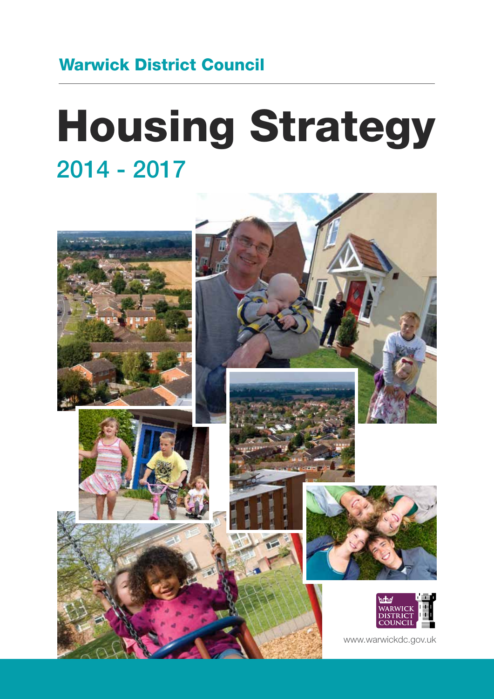# Warwick District Council

# Housing Strategy 2014 - 2017

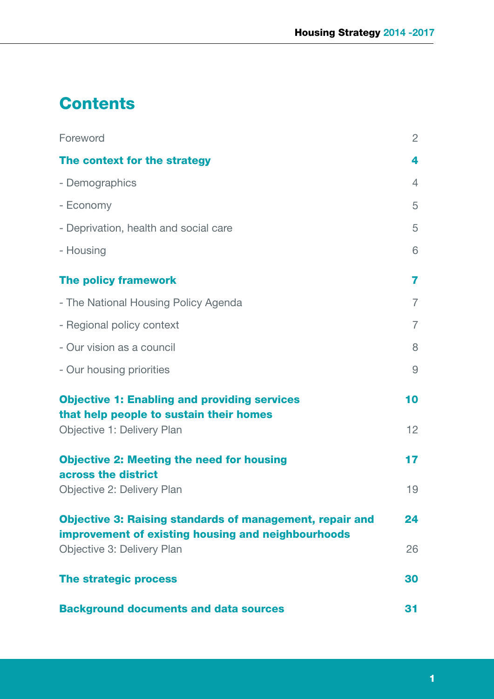# **Contents**

| Foreword                                                                                                              | $\overline{2}$ |
|-----------------------------------------------------------------------------------------------------------------------|----------------|
| The context for the strategy                                                                                          | 4              |
| - Demographics                                                                                                        | $\overline{4}$ |
| - Economy                                                                                                             | 5              |
| - Deprivation, health and social care                                                                                 | 5              |
| - Housing                                                                                                             | 6              |
| <b>The policy framework</b>                                                                                           | 7              |
| - The National Housing Policy Agenda                                                                                  | $\overline{7}$ |
| - Regional policy context                                                                                             | $\overline{7}$ |
| - Our vision as a council                                                                                             | 8              |
| - Our housing priorities                                                                                              | 9              |
| <b>Objective 1: Enabling and providing services</b><br>that help people to sustain their homes                        | 10             |
| Objective 1: Delivery Plan                                                                                            | 12             |
| <b>Objective 2: Meeting the need for housing</b><br>across the district                                               | 17             |
| Objective 2: Delivery Plan                                                                                            | 19             |
| <b>Objective 3: Raising standards of management, repair and</b><br>improvement of existing housing and neighbourhoods | 24             |
| Objective 3: Delivery Plan                                                                                            | 26             |
| The strategic process                                                                                                 | 30             |
| <b>Background documents and data sources</b>                                                                          | 31             |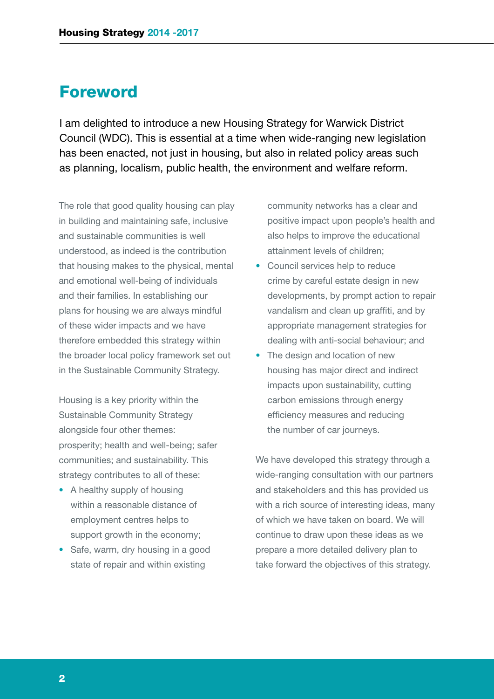### Foreword

I am delighted to introduce a new Housing Strategy for Warwick District Council (WDC). This is essential at a time when wide-ranging new legislation has been enacted, not just in housing, but also in related policy areas such as planning, localism, public health, the environment and welfare reform.

The role that good quality housing can play in building and maintaining safe, inclusive and sustainable communities is well understood, as indeed is the contribution that housing makes to the physical, mental and emotional well-being of individuals and their families. In establishing our plans for housing we are always mindful of these wider impacts and we have therefore embedded this strategy within the broader local policy framework set out in the Sustainable Community Strategy.

Housing is a key priority within the Sustainable Community Strategy alongside four other themes: prosperity; health and well-being; safer communities; and sustainability. This strategy contributes to all of these:

- A healthy supply of housing within a reasonable distance of employment centres helps to support growth in the economy;
- Safe, warm, dry housing in a good state of repair and within existing

community networks has a clear and positive impact upon people's health and also helps to improve the educational attainment levels of children;

- Council services help to reduce crime by careful estate design in new developments, by prompt action to repair vandalism and clean up graffiti, and by appropriate management strategies for dealing with anti-social behaviour; and
- The design and location of new housing has major direct and indirect impacts upon sustainability, cutting carbon emissions through energy efficiency measures and reducing the number of car journeys.

We have developed this strategy through a wide-ranging consultation with our partners and stakeholders and this has provided us with a rich source of interesting ideas, many of which we have taken on board. We will continue to draw upon these ideas as we prepare a more detailed delivery plan to take forward the objectives of this strategy.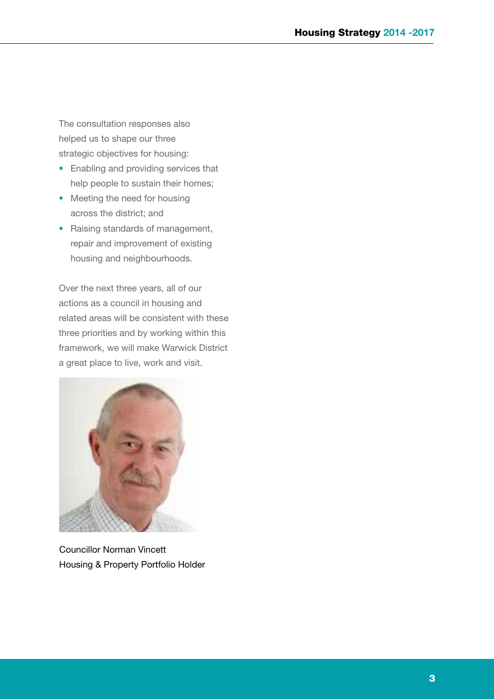The consultation responses also helped us to shape our three strategic objectives for housing:

- Enabling and providing services that help people to sustain their homes;
- Meeting the need for housing across the district; and
- Raising standards of management, repair and improvement of existing housing and neighbourhoods.

Over the next three years, all of our actions as a council in housing and related areas will be consistent with these three priorities and by working within this framework, we will make Warwick District a great place to live, work and visit.



Councillor Norman Vincett Housing & Property Portfolio Holder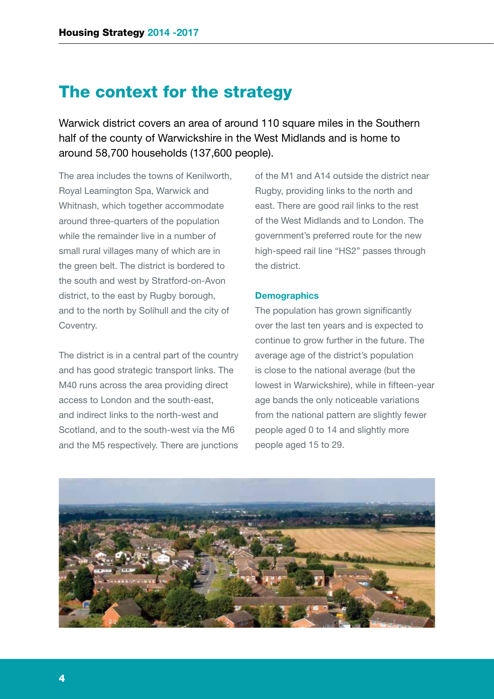### The context for the strategy

Warwick district covers an area of around 110 square miles in the Southern half of the county of Warwickshire in the West Midlands and is home to around 58,700 households (137,600 people).

The area includes the towns of Kenilworth, Royal Leamington Spa, Warwick and Whitnash, which together accommodate around three-quarters of the population while the remainder live in a number of small rural villages many of which are in the green belt. The district is bordered to the south and west by Stratford-on-Avon district, to the east by Rugby borough, and to the north by Solihull and the city of Coventry.

The district is in a central part of the country and has good strategic transport links. The M40 runs across the area providing direct access to London and the south-east, and indirect links to the north-west and Scotland, and to the south-west via the M6 and the M5 respectively. There are junctions

of the M1 and A14 outside the district near Rugby, providing links to the north and east. There are good rail links to the rest of the West Midlands and to London. The government's preferred route for the new high-speed rail line "HS2" passes through the district.

### **Demographics**

The population has grown significantly over the last ten years and is expected to continue to grow further in the future. The average age of the district's population is close to the national average (but the lowest in Warwickshire), while in fifteen-year age bands the only noticeable variations from the national pattern are slightly fewer people aged 0 to 14 and slightly more people aged 15 to 29.

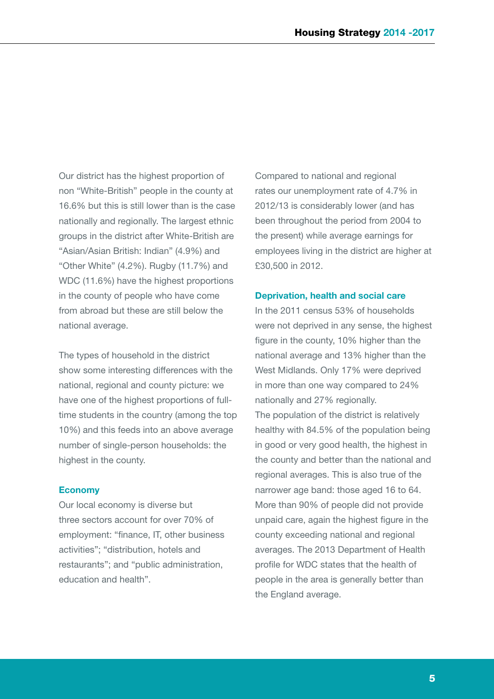Our district has the highest proportion of non "White-British" people in the county at 16.6% but this is still lower than is the case nationally and regionally. The largest ethnic groups in the district after White-British are "Asian/Asian British: Indian" (4.9%) and "Other White" (4.2%). Rugby (11.7%) and WDC (11.6%) have the highest proportions in the county of people who have come from abroad but these are still below the national average.

The types of household in the district show some interesting differences with the national, regional and county picture: we have one of the highest proportions of fulltime students in the country (among the top 10%) and this feeds into an above average number of single-person households: the highest in the county.

### **Economy**

Our local economy is diverse but three sectors account for over 70% of employment: "finance, IT, other business activities"; "distribution, hotels and restaurants"; and "public administration, education and health".

Compared to national and regional rates our unemployment rate of 4.7% in 2012/13 is considerably lower (and has been throughout the period from 2004 to the present) while average earnings for employees living in the district are higher at £30,500 in 2012.

#### **Deprivation, health and social care**

In the 2011 census 53% of households were not deprived in any sense, the highest figure in the county, 10% higher than the national average and 13% higher than the West Midlands. Only 17% were deprived in more than one way compared to 24% nationally and 27% regionally. The population of the district is relatively healthy with 84.5% of the population being in good or very good health, the highest in the county and better than the national and regional averages. This is also true of the narrower age band: those aged 16 to 64. More than 90% of people did not provide unpaid care, again the highest figure in the county exceeding national and regional averages. The 2013 Department of Health profile for WDC states that the health of people in the area is generally better than the England average.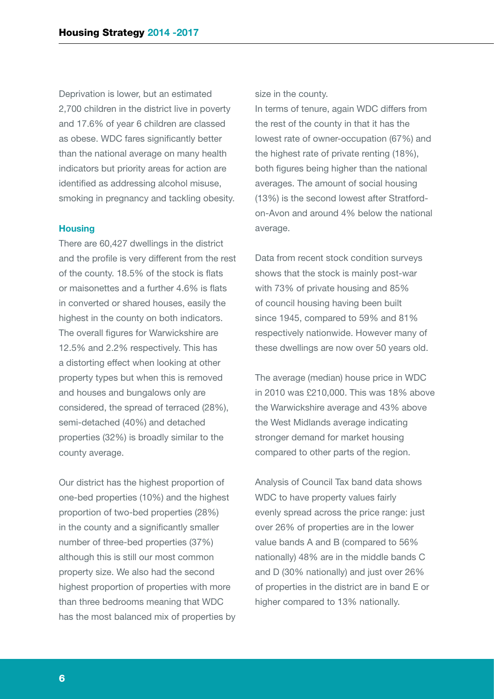Deprivation is lower, but an estimated 2,700 children in the district live in poverty and 17.6% of year 6 children are classed as obese. WDC fares significantly better than the national average on many health indicators but priority areas for action are identified as addressing alcohol misuse, smoking in pregnancy and tackling obesity.

#### **Housing**

There are 60,427 dwellings in the district and the profile is very different from the rest of the county. 18.5% of the stock is flats or maisonettes and a further 4.6% is flats in converted or shared houses, easily the highest in the county on both indicators. The overall figures for Warwickshire are 12.5% and 2.2% respectively. This has a distorting effect when looking at other property types but when this is removed and houses and bungalows only are considered, the spread of terraced (28%), semi-detached (40%) and detached properties (32%) is broadly similar to the county average.

Our district has the highest proportion of one-bed properties (10%) and the highest proportion of two-bed properties (28%) in the county and a significantly smaller number of three-bed properties (37%) although this is still our most common property size. We also had the second highest proportion of properties with more than three bedrooms meaning that WDC has the most balanced mix of properties by size in the county.

In terms of tenure, again WDC differs from the rest of the county in that it has the lowest rate of owner-occupation (67%) and the highest rate of private renting (18%), both figures being higher than the national averages. The amount of social housing (13%) is the second lowest after Stratfordon-Avon and around 4% below the national average.

Data from recent stock condition surveys shows that the stock is mainly post-war with 73% of private housing and 85% of council housing having been built since 1945, compared to 59% and 81% respectively nationwide. However many of these dwellings are now over 50 years old.

The average (median) house price in WDC in 2010 was £210,000. This was 18% above the Warwickshire average and 43% above the West Midlands average indicating stronger demand for market housing compared to other parts of the region.

Analysis of Council Tax band data shows WDC to have property values fairly evenly spread across the price range: just over 26% of properties are in the lower value bands A and B (compared to 56% nationally) 48% are in the middle bands C and D (30% nationally) and just over 26% of properties in the district are in band E or higher compared to 13% nationally.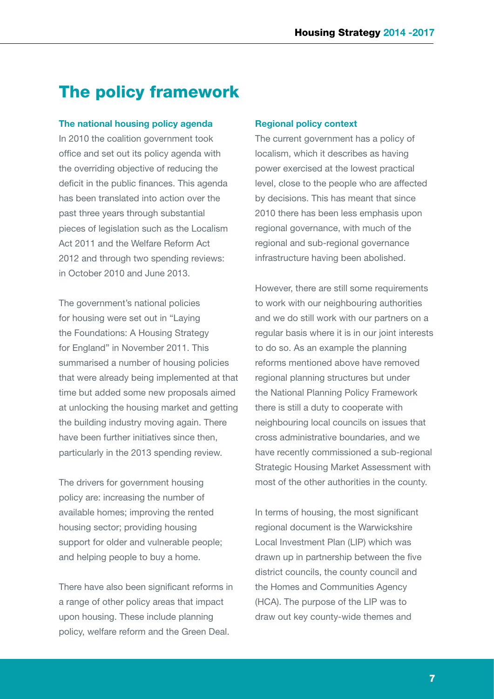# The policy framework

### **The national housing policy agenda**

In 2010 the coalition government took office and set out its policy agenda with the overriding objective of reducing the deficit in the public finances. This agenda has been translated into action over the past three years through substantial pieces of legislation such as the Localism Act 2011 and the Welfare Reform Act 2012 and through two spending reviews: in October 2010 and June 2013.

The government's national policies for housing were set out in "Laying the Foundations: A Housing Strategy for England" in November 2011. This summarised a number of housing policies that were already being implemented at that time but added some new proposals aimed at unlocking the housing market and getting the building industry moving again. There have been further initiatives since then, particularly in the 2013 spending review.

The drivers for government housing policy are: increasing the number of available homes; improving the rented housing sector; providing housing support for older and vulnerable people; and helping people to buy a home.

There have also been significant reforms in a range of other policy areas that impact upon housing. These include planning policy, welfare reform and the Green Deal.

#### **Regional policy context**

The current government has a policy of localism, which it describes as having power exercised at the lowest practical level, close to the people who are affected by decisions. This has meant that since 2010 there has been less emphasis upon regional governance, with much of the regional and sub-regional governance infrastructure having been abolished.

However, there are still some requirements to work with our neighbouring authorities and we do still work with our partners on a regular basis where it is in our joint interests to do so. As an example the planning reforms mentioned above have removed regional planning structures but under the National Planning Policy Framework there is still a duty to cooperate with neighbouring local councils on issues that cross administrative boundaries, and we have recently commissioned a sub-regional Strategic Housing Market Assessment with most of the other authorities in the county.

In terms of housing, the most significant regional document is the Warwickshire Local Investment Plan (LIP) which was drawn up in partnership between the five district councils, the county council and the Homes and Communities Agency (HCA). The purpose of the LIP was to draw out key county-wide themes and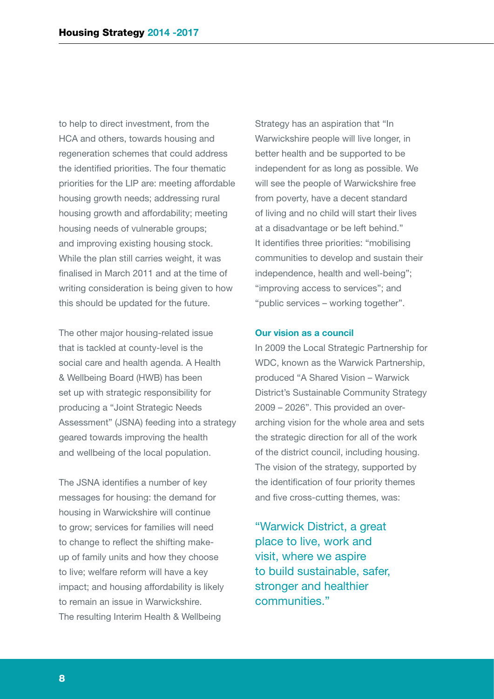to help to direct investment, from the HCA and others, towards housing and regeneration schemes that could address the identified priorities. The four thematic priorities for the LIP are: meeting affordable housing growth needs; addressing rural housing growth and affordability; meeting housing needs of vulnerable groups; and improving existing housing stock. While the plan still carries weight, it was finalised in March 2011 and at the time of writing consideration is being given to how this should be updated for the future.

The other major housing-related issue that is tackled at county-level is the social care and health agenda. A Health & Wellbeing Board (HWB) has been set up with strategic responsibility for producing a "Joint Strategic Needs Assessment" (JSNA) feeding into a strategy geared towards improving the health and wellbeing of the local population.

The JSNA identifies a number of key messages for housing: the demand for housing in Warwickshire will continue to grow; services for families will need to change to reflect the shifting makeup of family units and how they choose to live; welfare reform will have a key impact; and housing affordability is likely to remain an issue in Warwickshire. The resulting Interim Health & Wellbeing

Strategy has an aspiration that "In Warwickshire people will live longer, in better health and be supported to be independent for as long as possible. We will see the people of Warwickshire free from poverty, have a decent standard of living and no child will start their lives at a disadvantage or be left behind." It identifies three priorities: "mobilising communities to develop and sustain their independence, health and well-being"; "improving access to services"; and "public services – working together".

#### **Our vision as a council**

In 2009 the Local Strategic Partnership for WDC, known as the Warwick Partnership, produced "A Shared Vision – Warwick District's Sustainable Community Strategy 2009 – 2026". This provided an overarching vision for the whole area and sets the strategic direction for all of the work of the district council, including housing. The vision of the strategy, supported by the identification of four priority themes and five cross-cutting themes, was:

"Warwick District, a great place to live, work and visit, where we aspire to build sustainable, safer, stronger and healthier communities."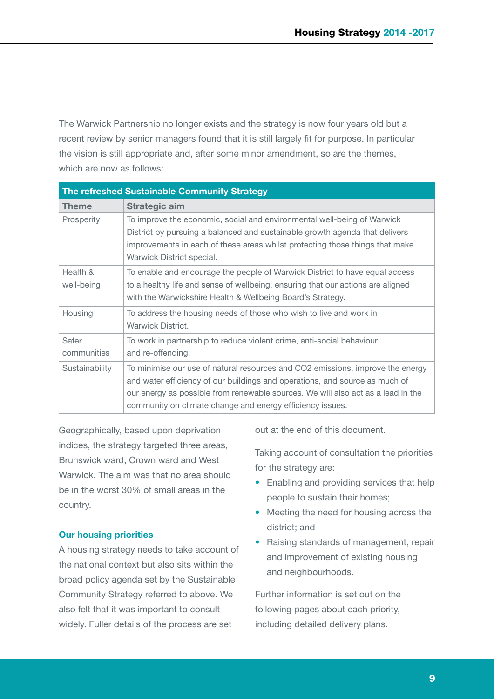The Warwick Partnership no longer exists and the strategy is now four years old but a recent review by senior managers found that it is still largely fit for purpose. In particular the vision is still appropriate and, after some minor amendment, so are the themes, which are now as follows:

| The refreshed Sustainable Community Strategy |                                                                                                                                                                                                                                                                                                                |
|----------------------------------------------|----------------------------------------------------------------------------------------------------------------------------------------------------------------------------------------------------------------------------------------------------------------------------------------------------------------|
| <b>Theme</b>                                 | <b>Strategic aim</b>                                                                                                                                                                                                                                                                                           |
| Prosperity                                   | To improve the economic, social and environmental well-being of Warwick<br>District by pursuing a balanced and sustainable growth agenda that delivers<br>improvements in each of these areas whilst protecting those things that make<br>Warwick District special.                                            |
| Health &<br>well-being                       | To enable and encourage the people of Warwick District to have equal access<br>to a healthy life and sense of wellbeing, ensuring that our actions are aligned<br>with the Warwickshire Health & Wellbeing Board's Strategy.                                                                                   |
| Housing                                      | To address the housing needs of those who wish to live and work in<br><b>Warwick District.</b>                                                                                                                                                                                                                 |
| Safer<br>communities                         | To work in partnership to reduce violent crime, anti-social behaviour<br>and re-offending.                                                                                                                                                                                                                     |
| Sustainability                               | To minimise our use of natural resources and CO2 emissions, improve the energy<br>and water efficiency of our buildings and operations, and source as much of<br>our energy as possible from renewable sources. We will also act as a lead in the<br>community on climate change and energy efficiency issues. |

Geographically, based upon deprivation indices, the strategy targeted three areas, Brunswick ward, Crown ward and West Warwick. The aim was that no area should be in the worst 30% of small areas in the country.

### **Our housing priorities**

A housing strategy needs to take account of the national context but also sits within the broad policy agenda set by the Sustainable Community Strategy referred to above. We also felt that it was important to consult widely. Fuller details of the process are set

out at the end of this document.

Taking account of consultation the priorities for the strategy are:

- Enabling and providing services that help people to sustain their homes;
- Meeting the need for housing across the district; and
- Raising standards of management, repair and improvement of existing housing and neighbourhoods.

Further information is set out on the following pages about each priority, including detailed delivery plans.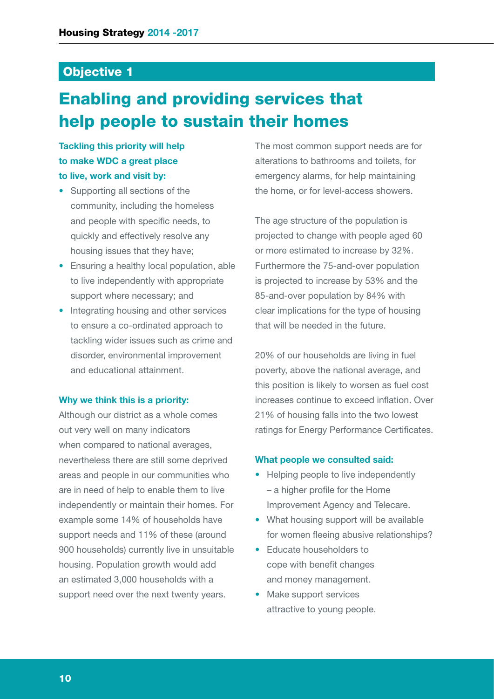### Objective 1

# Enabling and providing services that help people to sustain their homes

### **Tackling this priority will help to make WDC a great place to live, work and visit by:**

- Supporting all sections of the community, including the homeless and people with specific needs, to quickly and effectively resolve any housing issues that they have;
- Ensuring a healthy local population, able to live independently with appropriate support where necessary; and
- Integrating housing and other services to ensure a co-ordinated approach to tackling wider issues such as crime and disorder, environmental improvement and educational attainment.

### **Why we think this is a priority:**

Although our district as a whole comes out very well on many indicators when compared to national averages, nevertheless there are still some deprived areas and people in our communities who are in need of help to enable them to live independently or maintain their homes. For example some 14% of households have support needs and 11% of these (around 900 households) currently live in unsuitable housing. Population growth would add an estimated 3,000 households with a support need over the next twenty years.

The most common support needs are for alterations to bathrooms and toilets, for emergency alarms, for help maintaining the home, or for level-access showers.

The age structure of the population is projected to change with people aged 60 or more estimated to increase by 32%. Furthermore the 75-and-over population is projected to increase by 53% and the 85-and-over population by 84% with clear implications for the type of housing that will be needed in the future.

20% of our households are living in fuel poverty, above the national average, and this position is likely to worsen as fuel cost increases continue to exceed inflation. Over 21% of housing falls into the two lowest ratings for Energy Performance Certificates.

### **What people we consulted said:**

- Helping people to live independently – a higher profile for the Home Improvement Agency and Telecare.
- What housing support will be available for women fleeing abusive relationships?
- Educate householders to cope with benefit changes and money management.
- Make support services attractive to young people.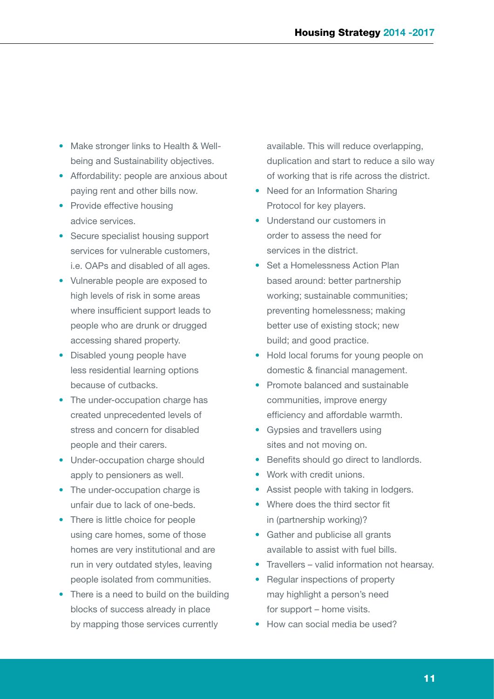- Make stronger links to Health & Wellbeing and Sustainability objectives.
- Affordability: people are anxious about paying rent and other bills now.
- Provide effective housing advice services.
- Secure specialist housing support services for vulnerable customers, i.e. OAPs and disabled of all ages.
- Vulnerable people are exposed to high levels of risk in some areas where insufficient support leads to people who are drunk or drugged accessing shared property.
- Disabled young people have less residential learning options because of cutbacks.
- The under-occupation charge has created unprecedented levels of stress and concern for disabled people and their carers.
- Under-occupation charge should apply to pensioners as well.
- The under-occupation charge is unfair due to lack of one-beds.
- There is little choice for people using care homes, some of those homes are very institutional and are run in very outdated styles, leaving people isolated from communities.
- There is a need to build on the building blocks of success already in place by mapping those services currently

available. This will reduce overlapping, duplication and start to reduce a silo way of working that is rife across the district.

- Need for an Information Sharing Protocol for key players.
- Understand our customers in order to assess the need for services in the district.
- Set a Homelessness Action Plan based around: better partnership working; sustainable communities; preventing homelessness; making better use of existing stock; new build; and good practice.
- Hold local forums for young people on domestic & financial management.
- Promote balanced and sustainable communities, improve energy efficiency and affordable warmth.
- Gypsies and travellers using sites and not moving on.
- Benefits should go direct to landlords.
- Work with credit unions.
- Assist people with taking in lodgers.
- Where does the third sector fit in (partnership working)?
- Gather and publicise all grants available to assist with fuel bills.
- Travellers valid information not hearsay.
- Regular inspections of property may highlight a person's need for support – home visits.
- How can social media be used?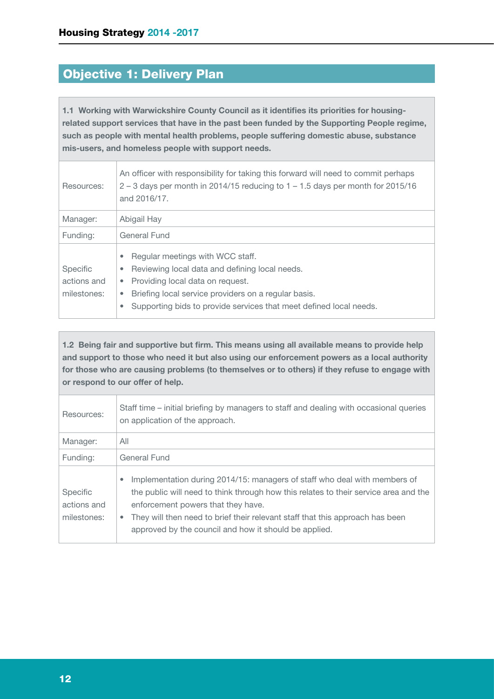# Objective 1: Delivery Plan

**1.1 Working with Warwickshire County Council as it identifies its priorities for housingrelated support services that have in the past been funded by the Supporting People regime, such as people with mental health problems, people suffering domestic abuse, substance mis-users, and homeless people with support needs.**

| Resources:                                    | An officer with responsibility for taking this forward will need to commit perhaps<br>$2 - 3$ days per month in 2014/15 reducing to $1 - 1.5$ days per month for 2015/16<br>and 2016/17.                                                                                                              |
|-----------------------------------------------|-------------------------------------------------------------------------------------------------------------------------------------------------------------------------------------------------------------------------------------------------------------------------------------------------------|
| Manager:                                      | Abigail Hay                                                                                                                                                                                                                                                                                           |
| Funding:                                      | General Fund                                                                                                                                                                                                                                                                                          |
| <b>Specific</b><br>actions and<br>milestones: | Regular meetings with WCC staff.<br>۰<br>Reviewing local data and defining local needs.<br>$\bullet$<br>Providing local data on request.<br>$\bullet$<br>Briefing local service providers on a regular basis.<br>۰<br>Supporting bids to provide services that meet defined local needs.<br>$\bullet$ |

**1.2 Being fair and supportive but firm. This means using all available means to provide help and support to those who need it but also using our enforcement powers as a local authority for those who are causing problems (to themselves or to others) if they refuse to engage with or respond to our offer of help.**

| Resources:                             | Staff time – initial briefing by managers to staff and dealing with occasional queries<br>on application of the approach.                                                                                                                                                                                                                                                   |
|----------------------------------------|-----------------------------------------------------------------------------------------------------------------------------------------------------------------------------------------------------------------------------------------------------------------------------------------------------------------------------------------------------------------------------|
| Manager:                               | All                                                                                                                                                                                                                                                                                                                                                                         |
| Funding:                               | General Fund                                                                                                                                                                                                                                                                                                                                                                |
| Specific<br>actions and<br>milestones: | Implementation during 2014/15: managers of staff who deal with members of<br>$\bullet$<br>the public will need to think through how this relates to their service area and the<br>enforcement powers that they have.<br>They will then need to brief their relevant staff that this approach has been<br>$\bullet$<br>approved by the council and how it should be applied. |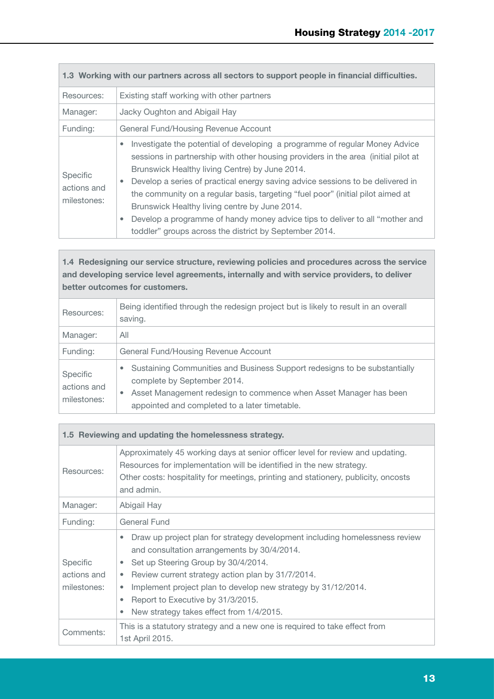| 1.3 Working with our partners across all sectors to support people in financial difficulties. |                                                                                                                                                                                                                                                                                                                                                                                                                                                                                                                                                                                                                    |
|-----------------------------------------------------------------------------------------------|--------------------------------------------------------------------------------------------------------------------------------------------------------------------------------------------------------------------------------------------------------------------------------------------------------------------------------------------------------------------------------------------------------------------------------------------------------------------------------------------------------------------------------------------------------------------------------------------------------------------|
| Resources:                                                                                    | Existing staff working with other partners                                                                                                                                                                                                                                                                                                                                                                                                                                                                                                                                                                         |
| Manager:                                                                                      | Jacky Oughton and Abigail Hay                                                                                                                                                                                                                                                                                                                                                                                                                                                                                                                                                                                      |
| Funding:                                                                                      | General Fund/Housing Revenue Account                                                                                                                                                                                                                                                                                                                                                                                                                                                                                                                                                                               |
| <b>Specific</b><br>actions and<br>milestones:                                                 | Investigate the potential of developing a programme of regular Money Advice<br>$\bullet$<br>sessions in partnership with other housing providers in the area (initial pilot at<br>Brunswick Healthy living Centre) by June 2014.<br>Develop a series of practical energy saving advice sessions to be delivered in<br>$\bullet$<br>the community on a regular basis, targeting "fuel poor" (initial pilot aimed at<br>Brunswick Healthy living centre by June 2014.<br>Develop a programme of handy money advice tips to deliver to all "mother and<br>۰<br>toddler" groups across the district by September 2014. |

### **1.4 Redesigning our service structure, reviewing policies and procedures across the service and developing service level agreements, internally and with service providers, to deliver better outcomes for customers.**

| Resources:                             | Being identified through the redesign project but is likely to result in an overall<br>saving.                                                                                                                                                   |
|----------------------------------------|--------------------------------------------------------------------------------------------------------------------------------------------------------------------------------------------------------------------------------------------------|
| Manager:                               | All                                                                                                                                                                                                                                              |
| Funding:                               | General Fund/Housing Revenue Account                                                                                                                                                                                                             |
| Specific<br>actions and<br>milestones: | Sustaining Communities and Business Support redesigns to be substantially<br>$\bullet$<br>complete by September 2014.<br>Asset Management redesign to commence when Asset Manager has been<br>۰<br>appointed and completed to a later timetable. |

| 1.5 Reviewing and updating the homelessness strategy. |                                                                                                                                                                                                                                                                                                                                                                                                                                |
|-------------------------------------------------------|--------------------------------------------------------------------------------------------------------------------------------------------------------------------------------------------------------------------------------------------------------------------------------------------------------------------------------------------------------------------------------------------------------------------------------|
| Resources:                                            | Approximately 45 working days at senior officer level for review and updating.<br>Resources for implementation will be identified in the new strategy.<br>Other costs: hospitality for meetings, printing and stationery, publicity, oncosts<br>and admin.                                                                                                                                                                     |
| Manager:                                              | Abigail Hay                                                                                                                                                                                                                                                                                                                                                                                                                    |
| Funding:                                              | General Fund                                                                                                                                                                                                                                                                                                                                                                                                                   |
| Specific<br>actions and<br>milestones:                | Draw up project plan for strategy development including homelessness review<br>۰<br>and consultation arrangements by 30/4/2014.<br>Set up Steering Group by 30/4/2014.<br>۰<br>Review current strategy action plan by 31/7/2014.<br>$\bullet$<br>Implement project plan to develop new strategy by 31/12/2014.<br>۰<br>Report to Executive by 31/3/2015.<br>$\bullet$<br>New strategy takes effect from 1/4/2015.<br>$\bullet$ |
| Comments:                                             | This is a statutory strategy and a new one is required to take effect from<br>1st April 2015.                                                                                                                                                                                                                                                                                                                                  |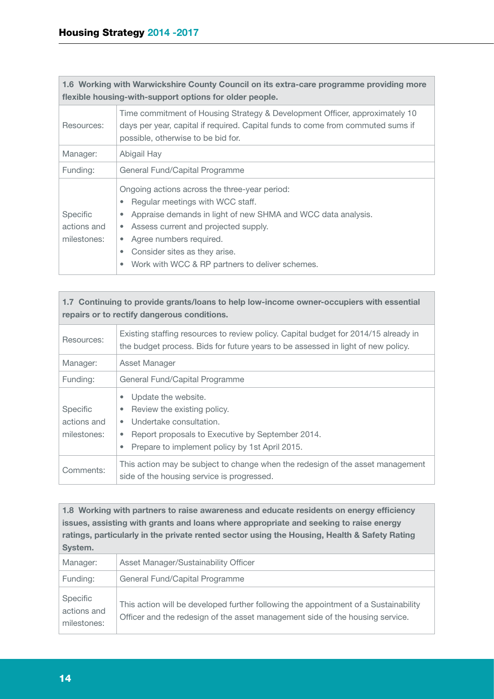| 1.6 Working with Warwickshire County Council on its extra-care programme providing more<br>flexible housing-with-support options for older people. |                                                                                                                                                                                                                                                                                                                                                                        |
|----------------------------------------------------------------------------------------------------------------------------------------------------|------------------------------------------------------------------------------------------------------------------------------------------------------------------------------------------------------------------------------------------------------------------------------------------------------------------------------------------------------------------------|
| Resources:                                                                                                                                         | Time commitment of Housing Strategy & Development Officer, approximately 10<br>days per year, capital if required. Capital funds to come from commuted sums if<br>possible, otherwise to be bid for.                                                                                                                                                                   |
| Manager:                                                                                                                                           | Abigail Hay                                                                                                                                                                                                                                                                                                                                                            |
| Funding:                                                                                                                                           | General Fund/Capital Programme                                                                                                                                                                                                                                                                                                                                         |
| Specific<br>actions and<br>milestones:                                                                                                             | Ongoing actions across the three-year period:<br>Regular meetings with WCC staff.<br>$\bullet$<br>Appraise demands in light of new SHMA and WCC data analysis.<br>۰<br>Assess current and projected supply.<br>$\bullet$<br>Agree numbers required.<br>$\bullet$<br>Consider sites as they arise.<br>۰<br>Work with WCC & RP partners to deliver schemes.<br>$\bullet$ |

### **1.7 Continuing to provide grants/loans to help low-income owner-occupiers with essential repairs or to rectify dangerous conditions.**

| Resources:                             | Existing staffing resources to review policy. Capital budget for 2014/15 already in<br>the budget process. Bids for future years to be assessed in light of new policy.                                                              |
|----------------------------------------|--------------------------------------------------------------------------------------------------------------------------------------------------------------------------------------------------------------------------------------|
| Manager:                               | Asset Manager                                                                                                                                                                                                                        |
| Funding:                               | General Fund/Capital Programme                                                                                                                                                                                                       |
| Specific<br>actions and<br>milestones: | Update the website.<br>$\bullet$<br>Review the existing policy.<br>۰<br>Undertake consultation.<br>$\bullet$<br>Report proposals to Executive by September 2014.<br>٠<br>Prepare to implement policy by 1st April 2015.<br>$\bullet$ |
| Comments:                              | This action may be subject to change when the redesign of the asset management<br>side of the housing service is progressed.                                                                                                         |

**1.8 Working with partners to raise awareness and educate residents on energy efficiency issues, assisting with grants and loans where appropriate and seeking to raise energy ratings, particularly in the private rented sector using the Housing, Health & Safety Rating System.**

| Manager:                               | Asset Manager/Sustainability Officer                                                                                                                                 |
|----------------------------------------|----------------------------------------------------------------------------------------------------------------------------------------------------------------------|
| Funding:                               | General Fund/Capital Programme                                                                                                                                       |
| Specific<br>actions and<br>milestones: | This action will be developed further following the appointment of a Sustainability<br>Officer and the redesign of the asset management side of the housing service. |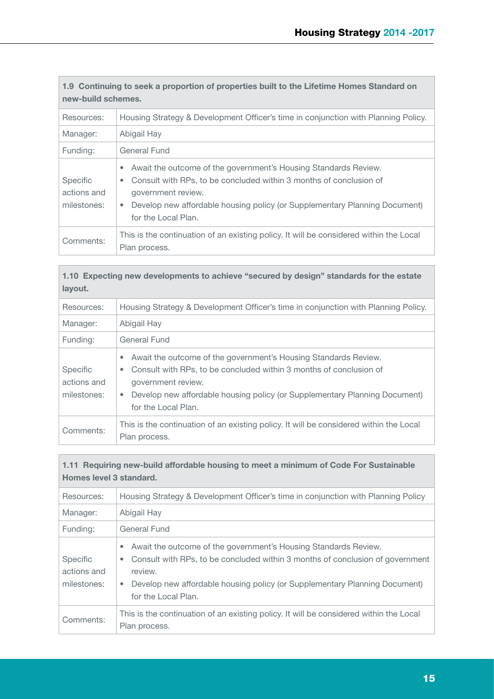| 1.9 Continuing to seek a proportion of properties built to the Lifetime Homes Standard on<br>new-build schemes. |                                                                                                                                                                                                                                                                                            |
|-----------------------------------------------------------------------------------------------------------------|--------------------------------------------------------------------------------------------------------------------------------------------------------------------------------------------------------------------------------------------------------------------------------------------|
| Resources:                                                                                                      | Housing Strategy & Development Officer's time in conjunction with Planning Policy.                                                                                                                                                                                                         |
| Manager:                                                                                                        | Abigail Hay                                                                                                                                                                                                                                                                                |
| Funding:                                                                                                        | General Fund                                                                                                                                                                                                                                                                               |
| <b>Specific</b><br>actions and<br>milestones:                                                                   | Await the outcome of the government's Housing Standards Review.<br>Consult with RPs, to be concluded within 3 months of conclusion of<br>$\bullet$<br>government review.<br>Develop new affordable housing policy (or Supplementary Planning Document)<br>$\bullet$<br>for the Local Plan. |
| Comments:                                                                                                       | This is the continuation of an existing policy. It will be considered within the Local<br>Plan process.                                                                                                                                                                                    |

| 1.10 Expecting new developments to achieve "secured by design" standards for the estate<br>layout. |                                                                                                                                                                                                                                                                                         |
|----------------------------------------------------------------------------------------------------|-----------------------------------------------------------------------------------------------------------------------------------------------------------------------------------------------------------------------------------------------------------------------------------------|
| Resources:                                                                                         | Housing Strategy & Development Officer's time in conjunction with Planning Policy.                                                                                                                                                                                                      |
| Manager:                                                                                           | Abigail Hay                                                                                                                                                                                                                                                                             |
| Funding:                                                                                           | General Fund                                                                                                                                                                                                                                                                            |
| <b>Specific</b><br>actions and<br>milestones:                                                      | Await the outcome of the government's Housing Standards Review.<br>۰<br>Consult with RPs, to be concluded within 3 months of conclusion of<br>۰<br>government review.<br>Develop new affordable housing policy (or Supplementary Planning Document)<br>$\bullet$<br>for the Local Plan. |
| Comments:                                                                                          | This is the continuation of an existing policy. It will be considered within the Local<br>Plan process.                                                                                                                                                                                 |

Г

| 1.11 Requiring new-build affordable housing to meet a minimum of Code For Sustainable |
|---------------------------------------------------------------------------------------|
| Homes level 3 standard.                                                               |

| Resources:                             | Housing Strategy & Development Officer's time in conjunction with Planning Policy                                                                                                                                                                                                       |  |  |  |
|----------------------------------------|-----------------------------------------------------------------------------------------------------------------------------------------------------------------------------------------------------------------------------------------------------------------------------------------|--|--|--|
| Manager:                               | Abigail Hay                                                                                                                                                                                                                                                                             |  |  |  |
| Funding:                               | General Fund                                                                                                                                                                                                                                                                            |  |  |  |
| Specific<br>actions and<br>milestones: | Await the outcome of the government's Housing Standards Review.<br>۰<br>Consult with RPs, to be concluded within 3 months of conclusion of government<br>$\bullet$<br>review.<br>Develop new affordable housing policy (or Supplementary Planning Document)<br>۰<br>for the Local Plan. |  |  |  |
| Comments:                              | This is the continuation of an existing policy. It will be considered within the Local<br>Plan process.                                                                                                                                                                                 |  |  |  |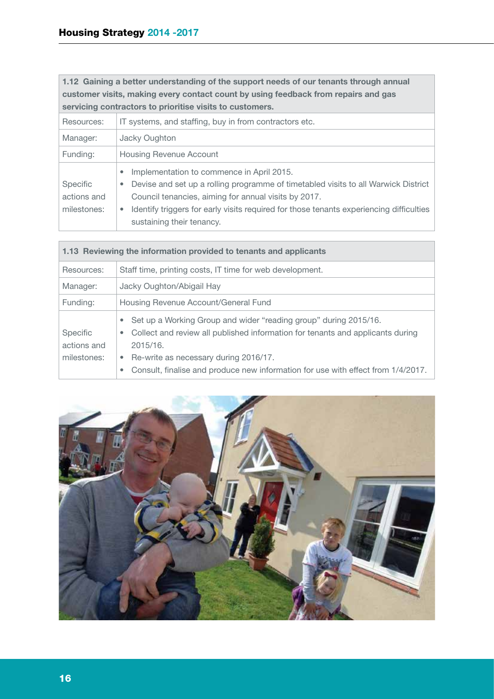**1.12 Gaining a better understanding of the support needs of our tenants through annual customer visits, making every contact count by using feedback from repairs and gas servicing contractors to prioritise visits to customers.**

| Resources:                                    | IT systems, and staffing, buy in from contractors etc.                                                                                                                                                                                                                                                                                         |
|-----------------------------------------------|------------------------------------------------------------------------------------------------------------------------------------------------------------------------------------------------------------------------------------------------------------------------------------------------------------------------------------------------|
| Manager:                                      | Jacky Oughton                                                                                                                                                                                                                                                                                                                                  |
| Funding:                                      | <b>Housing Revenue Account</b>                                                                                                                                                                                                                                                                                                                 |
| <b>Specific</b><br>actions and<br>milestones: | Implementation to commence in April 2015.<br>$\bullet$<br>Devise and set up a rolling programme of timetabled visits to all Warwick District<br>۰<br>Council tenancies, aiming for annual visits by 2017.<br>Identify triggers for early visits required for those tenants experiencing difficulties<br>$\bullet$<br>sustaining their tenancy. |

| 1.13 Reviewing the information provided to tenants and applicants |                                                                                                                                                                                                                                                                                                                         |  |  |  |
|-------------------------------------------------------------------|-------------------------------------------------------------------------------------------------------------------------------------------------------------------------------------------------------------------------------------------------------------------------------------------------------------------------|--|--|--|
| Resources:                                                        | Staff time, printing costs, IT time for web development.                                                                                                                                                                                                                                                                |  |  |  |
| Jacky Oughton/Abigail Hay<br>Manager:                             |                                                                                                                                                                                                                                                                                                                         |  |  |  |
| Funding:                                                          | Housing Revenue Account/General Fund                                                                                                                                                                                                                                                                                    |  |  |  |
| Specific<br>actions and<br>milestones:                            | Set up a Working Group and wider "reading group" during 2015/16.<br>۰<br>Collect and review all published information for tenants and applicants during<br>۰<br>2015/16.<br>Re-write as necessary during 2016/17.<br>$\bullet$<br>Consult, finalise and produce new information for use with effect from 1/4/2017.<br>۰ |  |  |  |

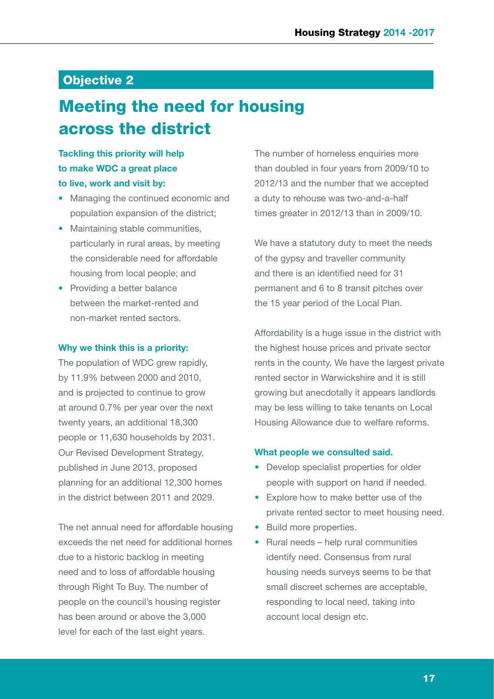### Objective 2

# Meeting the need for housing across the district

### **Tackling this priority will help to make WDC a great place to live, work and visit by:**

- Managing the continued economic and population expansion of the district;
- Maintaining stable communities, particularly in rural areas, by meeting the considerable need for affordable housing from local people; and
- Providing a better balance between the market-rented and non-market rented sectors.

#### **Why we think this is a priority:**

The population of WDC grew rapidly, by 11.9% between 2000 and 2010, and is projected to continue to grow at around 0.7% per year over the next twenty years, an additional 18,300 people or 11,630 households by 2031. Our Revised Development Strategy, published in June 2013, proposed planning for an additional 12,300 homes in the district between 2011 and 2029.

The net annual need for affordable housing exceeds the net need for additional homes due to a historic backlog in meeting need and to loss of affordable housing through Right To Buy. The number of people on the council's housing register has been around or above the 3,000 level for each of the last eight years.

The number of homeless enquiries more than doubled in four years from 2009/10 to 2012/13 and the number that we accepted a duty to rehouse was two-and-a-half times greater in 2012/13 than in 2009/10.

We have a statutory duty to meet the needs of the gypsy and traveller community and there is an identified need for 31 permanent and 6 to 8 transit pitches over the 15 year period of the Local Plan.

Affordability is a huge issue in the district with the highest house prices and private sector rents in the county. We have the largest private rented sector in Warwickshire and it is still growing but anecdotally it appears landlords may be less willing to take tenants on Local Housing Allowance due to welfare reforms.

### **What people we consulted said.**

- Develop specialist properties for older people with support on hand if needed.
- Explore how to make better use of the private rented sector to meet housing need.
- Build more properties.
- Rural needs help rural communities identify need. Consensus from rural housing needs surveys seems to be that small discreet schemes are acceptable, responding to local need, taking into account local design etc.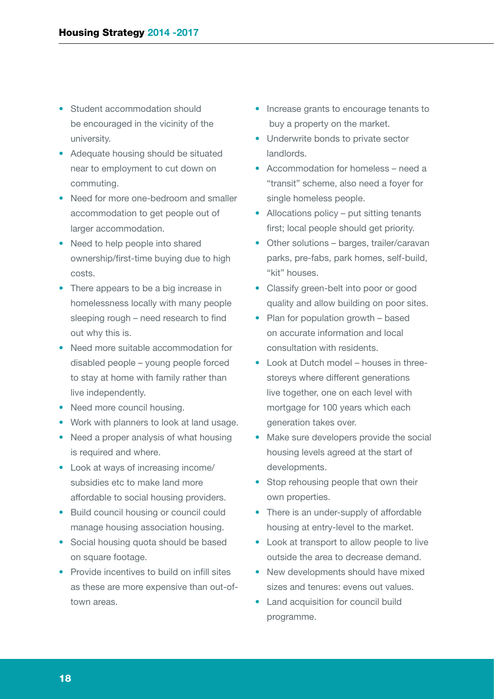- Student accommodation should be encouraged in the vicinity of the university.
- Adequate housing should be situated near to employment to cut down on commuting.
- Need for more one-bedroom and smaller accommodation to get people out of larger accommodation.
- Need to help people into shared ownership/first-time buying due to high costs.
- There appears to be a big increase in homelessness locally with many people sleeping rough – need research to find out why this is.
- Need more suitable accommodation for disabled people – young people forced to stay at home with family rather than live independently.
- Need more council housing.
- Work with planners to look at land usage.
- Need a proper analysis of what housing is required and where.
- Look at ways of increasing income/ subsidies etc to make land more affordable to social housing providers.
- Build council housing or council could manage housing association housing.
- Social housing quota should be based on square footage.
- Provide incentives to build on infill sites as these are more expensive than out-oftown areas.
- Increase grants to encourage tenants to buy a property on the market.
- Underwrite bonds to private sector landlords.
- Accommodation for homeless need a "transit" scheme, also need a foyer for single homeless people.
- Allocations policy put sitting tenants first; local people should get priority.
- Other solutions barges, trailer/caravan parks, pre-fabs, park homes, self-build, "kit" houses.
- Classify green-belt into poor or good quality and allow building on poor sites.
- Plan for population growth based on accurate information and local consultation with residents.
- Look at Dutch model houses in threestoreys where different generations live together, one on each level with mortgage for 100 years which each generation takes over.
- Make sure developers provide the social housing levels agreed at the start of developments.
- Stop rehousing people that own their own properties.
- There is an under-supply of affordable housing at entry-level to the market.
- Look at transport to allow people to live outside the area to decrease demand.
- New developments should have mixed sizes and tenures: evens out values.
- Land acquisition for council build programme.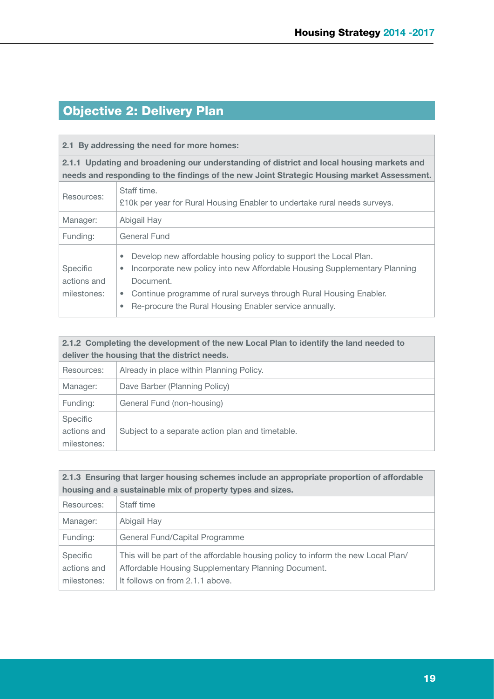### Objective 2: Delivery Plan

### **2.1 By addressing the need for more homes:**

**2.1.1 Updating and broadening our understanding of district and local housing markets and needs and responding to the findings of the new Joint Strategic Housing market Assessment.**

| Resources:                                    | Staff time.<br>£10k per year for Rural Housing Enabler to undertake rural needs surveys.                                                                                                                                                                                                                               |
|-----------------------------------------------|------------------------------------------------------------------------------------------------------------------------------------------------------------------------------------------------------------------------------------------------------------------------------------------------------------------------|
| Manager:                                      | Abigail Hay                                                                                                                                                                                                                                                                                                            |
| Funding:                                      | General Fund                                                                                                                                                                                                                                                                                                           |
| <b>Specific</b><br>actions and<br>milestones: | Develop new affordable housing policy to support the Local Plan.<br>۰<br>Incorporate new policy into new Affordable Housing Supplementary Planning<br>۰<br>Document.<br>Continue programme of rural surveys through Rural Housing Enabler.<br>۰<br>Re-procure the Rural Housing Enabler service annually.<br>$\bullet$ |

| 2.1.2 Completing the development of the new Local Plan to identify the land needed to<br>deliver the housing that the district needs. |                                                  |  |
|---------------------------------------------------------------------------------------------------------------------------------------|--------------------------------------------------|--|
| Resources:                                                                                                                            | Already in place within Planning Policy.         |  |
| Manager:                                                                                                                              | Dave Barber (Planning Policy)                    |  |
| Funding:                                                                                                                              | General Fund (non-housing)                       |  |
| <b>Specific</b><br>actions and<br>milestones:                                                                                         | Subject to a separate action plan and timetable. |  |

| 2.1.3 Ensuring that larger housing schemes include an appropriate proportion of affordable |                                                                                                                                                                            |  |  |  |
|--------------------------------------------------------------------------------------------|----------------------------------------------------------------------------------------------------------------------------------------------------------------------------|--|--|--|
|                                                                                            | housing and a sustainable mix of property types and sizes.                                                                                                                 |  |  |  |
| Resources:                                                                                 | Staff time                                                                                                                                                                 |  |  |  |
| Manager:                                                                                   | Abigail Hay                                                                                                                                                                |  |  |  |
| Funding:                                                                                   | General Fund/Capital Programme                                                                                                                                             |  |  |  |
| <b>Specific</b><br>actions and<br>milestones:                                              | This will be part of the affordable housing policy to inform the new Local Plan/<br>Affordable Housing Supplementary Planning Document.<br>It follows on from 2.1.1 above. |  |  |  |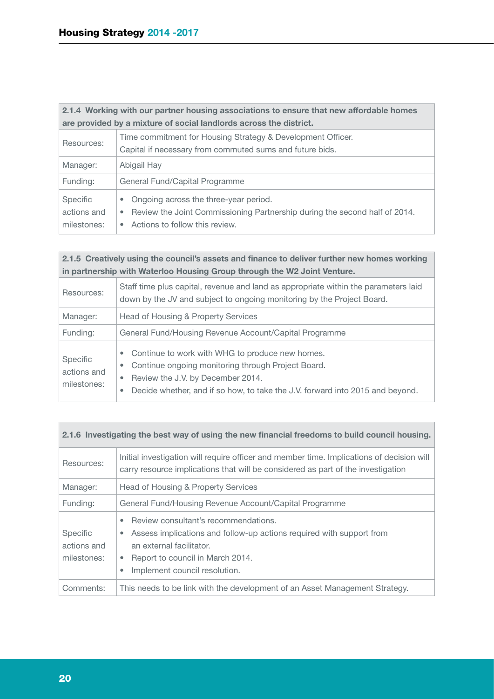| 2.1.4 Working with our partner housing associations to ensure that new affordable homes |                                                                                                                                                                              |  |  |
|-----------------------------------------------------------------------------------------|------------------------------------------------------------------------------------------------------------------------------------------------------------------------------|--|--|
|                                                                                         | are provided by a mixture of social landlords across the district.                                                                                                           |  |  |
| Resources:                                                                              | Time commitment for Housing Strategy & Development Officer.<br>Capital if necessary from commuted sums and future bids.                                                      |  |  |
| Manager:                                                                                | Abigail Hay                                                                                                                                                                  |  |  |
| Funding:                                                                                | General Fund/Capital Programme                                                                                                                                               |  |  |
| Specific<br>actions and<br>milestones:                                                  | Ongoing across the three-year period.<br>$\bullet$<br>Review the Joint Commissioning Partnership during the second half of 2014.<br>۰<br>Actions to follow this review.<br>۰ |  |  |

| 2.1.5 Creatively using the council's assets and finance to deliver further new homes working<br>in partnership with Waterloo Housing Group through the W2 Joint Venture. |                                                                                                                                                                                                                                                                 |  |  |  |  |
|--------------------------------------------------------------------------------------------------------------------------------------------------------------------------|-----------------------------------------------------------------------------------------------------------------------------------------------------------------------------------------------------------------------------------------------------------------|--|--|--|--|
| Resources:                                                                                                                                                               | Staff time plus capital, revenue and land as appropriate within the parameters laid<br>down by the JV and subject to ongoing monitoring by the Project Board.                                                                                                   |  |  |  |  |
| Manager:                                                                                                                                                                 | Head of Housing & Property Services                                                                                                                                                                                                                             |  |  |  |  |
| Funding:                                                                                                                                                                 | General Fund/Housing Revenue Account/Capital Programme                                                                                                                                                                                                          |  |  |  |  |
| Specific<br>actions and<br>milestones:                                                                                                                                   | Continue to work with WHG to produce new homes.<br>$\bullet$<br>Continue ongoing monitoring through Project Board.<br>$\bullet$<br>Review the J.V. by December 2014.<br>۰<br>Decide whether, and if so how, to take the J.V. forward into 2015 and beyond.<br>۰ |  |  |  |  |

|  |  |  |  | 2.1.6 Investigating the best way of using the new financial freedoms to build council housing. |  |  |  |  |
|--|--|--|--|------------------------------------------------------------------------------------------------|--|--|--|--|
|--|--|--|--|------------------------------------------------------------------------------------------------|--|--|--|--|

| Resources:                                    | Initial investigation will require officer and member time. Implications of decision will<br>carry resource implications that will be considered as part of the investigation                                                                             |
|-----------------------------------------------|-----------------------------------------------------------------------------------------------------------------------------------------------------------------------------------------------------------------------------------------------------------|
| Manager:                                      | Head of Housing & Property Services                                                                                                                                                                                                                       |
| Funding:                                      | General Fund/Housing Revenue Account/Capital Programme                                                                                                                                                                                                    |
| <b>Specific</b><br>actions and<br>milestones: | Review consultant's recommendations.<br>$\bullet$<br>Assess implications and follow-up actions required with support from<br>$\bullet$<br>an external facilitator.<br>Report to council in March 2014.<br>$\bullet$<br>Implement council resolution.<br>٠ |
| Comments:                                     | This needs to be link with the development of an Asset Management Strategy.                                                                                                                                                                               |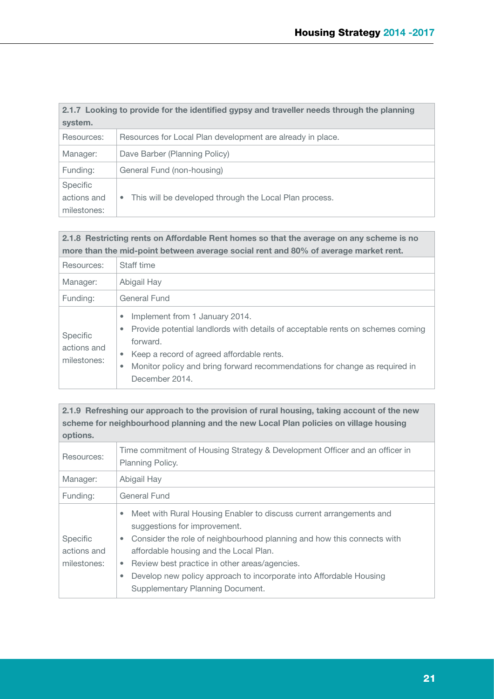| 2.1.7 Looking to provide for the identified gypsy and traveller needs through the planning |                                                                     |  |  |  |  |
|--------------------------------------------------------------------------------------------|---------------------------------------------------------------------|--|--|--|--|
| system.                                                                                    |                                                                     |  |  |  |  |
| Resources:                                                                                 | Resources for Local Plan development are already in place.          |  |  |  |  |
| Manager:                                                                                   | Dave Barber (Planning Policy)                                       |  |  |  |  |
| Funding:                                                                                   | General Fund (non-housing)                                          |  |  |  |  |
| Specific                                                                                   |                                                                     |  |  |  |  |
| actions and                                                                                | This will be developed through the Local Plan process.<br>$\bullet$ |  |  |  |  |
| milestones:                                                                                |                                                                     |  |  |  |  |

### **2.1.8 Restricting rents on Affordable Rent homes so that the average on any scheme is no more than the mid-point between average social rent and 80% of average market rent.**

| Resources:                             | Staff time                                                                                                                                                                                                                                                                                                            |  |  |  |  |
|----------------------------------------|-----------------------------------------------------------------------------------------------------------------------------------------------------------------------------------------------------------------------------------------------------------------------------------------------------------------------|--|--|--|--|
| Manager:                               | Abigail Hay                                                                                                                                                                                                                                                                                                           |  |  |  |  |
| Funding:                               | General Fund                                                                                                                                                                                                                                                                                                          |  |  |  |  |
| Specific<br>actions and<br>milestones: | Implement from 1 January 2014.<br>$\bullet$<br>Provide potential landlords with details of acceptable rents on schemes coming<br>۰<br>forward.<br>Keep a record of agreed affordable rents.<br>$\bullet$<br>Monitor policy and bring forward recommendations for change as required in<br>$\bullet$<br>December 2014. |  |  |  |  |

### **2.1.9 Refreshing our approach to the provision of rural housing, taking account of the new scheme for neighbourhood planning and the new Local Plan policies on village housing options.**

| Resources:                             | Time commitment of Housing Strategy & Development Officer and an officer in<br><b>Planning Policy.</b>                                                                                                                                                                                                                                                                                                 |
|----------------------------------------|--------------------------------------------------------------------------------------------------------------------------------------------------------------------------------------------------------------------------------------------------------------------------------------------------------------------------------------------------------------------------------------------------------|
| Manager:                               | Abigail Hay                                                                                                                                                                                                                                                                                                                                                                                            |
| Funding:                               | General Fund                                                                                                                                                                                                                                                                                                                                                                                           |
| Specific<br>actions and<br>milestones: | Meet with Rural Housing Enabler to discuss current arrangements and<br>۰<br>suggestions for improvement.<br>Consider the role of neighbourhood planning and how this connects with<br>۰<br>affordable housing and the Local Plan.<br>Review best practice in other areas/agencies.<br>۰<br>Develop new policy approach to incorporate into Affordable Housing<br>۰<br>Supplementary Planning Document. |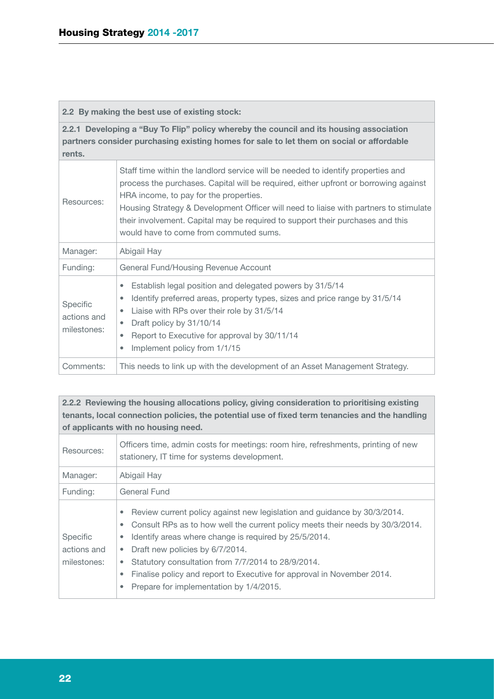|  |  |  | 2.2 By making the best use of existing stock: |  |
|--|--|--|-----------------------------------------------|--|
|  |  |  |                                               |  |

**2.2.1 Developing a "Buy To Flip" policy whereby the council and its housing association partners consider purchasing existing homes for sale to let them on social or affordable rents.**

| Resources:                             | Staff time within the landlord service will be needed to identify properties and<br>process the purchases. Capital will be required, either upfront or borrowing against<br>HRA income, to pay for the properties.<br>Housing Strategy & Development Officer will need to liaise with partners to stimulate<br>their involvement. Capital may be required to support their purchases and this<br>would have to come from commuted sums. |
|----------------------------------------|-----------------------------------------------------------------------------------------------------------------------------------------------------------------------------------------------------------------------------------------------------------------------------------------------------------------------------------------------------------------------------------------------------------------------------------------|
| Manager:                               | Abigail Hay                                                                                                                                                                                                                                                                                                                                                                                                                             |
| Funding:                               | General Fund/Housing Revenue Account                                                                                                                                                                                                                                                                                                                                                                                                    |
| Specific<br>actions and<br>milestones: | Establish legal position and delegated powers by 31/5/14<br>۰<br>Identify preferred areas, property types, sizes and price range by 31/5/14<br>۰<br>Liaise with RPs over their role by 31/5/14<br>$\bullet$<br>Draft policy by 31/10/14<br>۰<br>Report to Executive for approval by 30/11/14<br>۰<br>Implement policy from 1/1/15<br>٠                                                                                                  |
| Comments:                              | This needs to link up with the development of an Asset Management Strategy.                                                                                                                                                                                                                                                                                                                                                             |

### **2.2.2 Reviewing the housing allocations policy, giving consideration to prioritising existing tenants, local connection policies, the potential use of fixed term tenancies and the handling of applicants with no housing need.**

| Resources:                             | Officers time, admin costs for meetings: room hire, refreshments, printing of new<br>stationery, IT time for systems development.                                                                                                                                                                                                                                                                                                                                                   |
|----------------------------------------|-------------------------------------------------------------------------------------------------------------------------------------------------------------------------------------------------------------------------------------------------------------------------------------------------------------------------------------------------------------------------------------------------------------------------------------------------------------------------------------|
| Manager:                               | Abigail Hay                                                                                                                                                                                                                                                                                                                                                                                                                                                                         |
| Funding:                               | General Fund                                                                                                                                                                                                                                                                                                                                                                                                                                                                        |
| Specific<br>actions and<br>milestones: | Review current policy against new legislation and guidance by 30/3/2014.<br>۰<br>Consult RPs as to how well the current policy meets their needs by 30/3/2014.<br>۰<br>Identify areas where change is required by 25/5/2014.<br>۰<br>Draft new policies by 6/7/2014.<br>$\bullet$<br>Statutory consultation from 7/7/2014 to 28/9/2014.<br>۰<br>Finalise policy and report to Executive for approval in November 2014.<br>$\bullet$<br>Prepare for implementation by 1/4/2015.<br>۰ |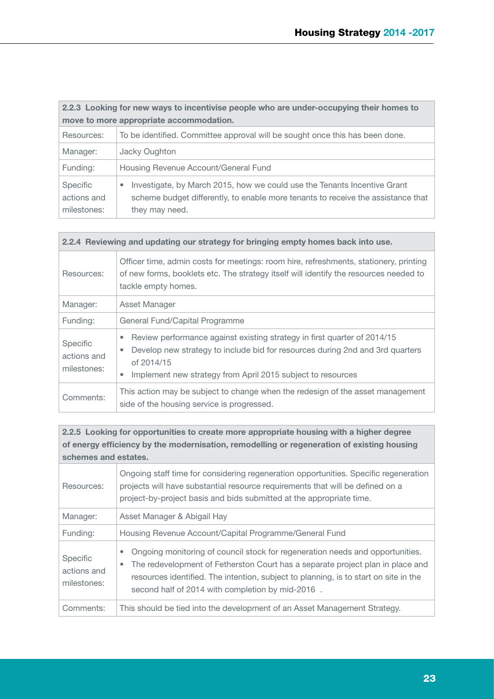| 2.2.3 Looking for new ways to incentivise people who are under-occupying their homes to |                                                                                                                                                                                             |  |  |
|-----------------------------------------------------------------------------------------|---------------------------------------------------------------------------------------------------------------------------------------------------------------------------------------------|--|--|
| move to more appropriate accommodation.                                                 |                                                                                                                                                                                             |  |  |
| Resources:                                                                              | To be identified. Committee approval will be sought once this has been done.                                                                                                                |  |  |
| Manager:                                                                                | Jacky Oughton                                                                                                                                                                               |  |  |
| Funding:                                                                                | Housing Revenue Account/General Fund                                                                                                                                                        |  |  |
| Specific<br>actions and<br>milestones:                                                  | Investigate, by March 2015, how we could use the Tenants Incentive Grant<br>$\bullet$<br>scheme budget differently, to enable more tenants to receive the assistance that<br>they may need. |  |  |

| 2.2.4 Reviewing and updating our strategy for bringing empty homes back into use. |                                                                                                                                                                                                                                                               |  |  |
|-----------------------------------------------------------------------------------|---------------------------------------------------------------------------------------------------------------------------------------------------------------------------------------------------------------------------------------------------------------|--|--|
| Resources:                                                                        | Officer time, admin costs for meetings: room hire, refreshments, stationery, printing<br>of new forms, booklets etc. The strategy itself will identify the resources needed to<br>tackle empty homes.                                                         |  |  |
| Manager:                                                                          | Asset Manager                                                                                                                                                                                                                                                 |  |  |
| Funding:                                                                          | General Fund/Capital Programme                                                                                                                                                                                                                                |  |  |
| Specific<br>actions and<br>milestones:                                            | Review performance against existing strategy in first quarter of 2014/15<br>۰<br>Develop new strategy to include bid for resources during 2nd and 3rd quarters<br>$\bullet$<br>of 2014/15<br>Implement new strategy from April 2015 subject to resources<br>۰ |  |  |
| Comments:                                                                         | This action may be subject to change when the redesign of the asset management<br>side of the housing service is progressed.                                                                                                                                  |  |  |

**2.2.5 Looking for opportunities to create more appropriate housing with a higher degree of energy efficiency by the modernisation, remodelling or regeneration of existing housing schemes and estates.**

| Resources:                                    | Ongoing staff time for considering regeneration opportunities. Specific regeneration<br>projects will have substantial resource requirements that will be defined on a<br>project-by-project basis and bids submitted at the appropriate time.                                                                                        |
|-----------------------------------------------|---------------------------------------------------------------------------------------------------------------------------------------------------------------------------------------------------------------------------------------------------------------------------------------------------------------------------------------|
| Manager:                                      | Asset Manager & Abigail Hay                                                                                                                                                                                                                                                                                                           |
| Funding:                                      | Housing Revenue Account/Capital Programme/General Fund                                                                                                                                                                                                                                                                                |
| <b>Specific</b><br>actions and<br>milestones: | Ongoing monitoring of council stock for regeneration needs and opportunities.<br>$\bullet$<br>The redevelopment of Fetherston Court has a separate project plan in place and<br>$\bullet$<br>resources identified. The intention, subject to planning, is to start on site in the<br>second half of 2014 with completion by mid-2016. |
| Comments:                                     | This should be tied into the development of an Asset Management Strategy.                                                                                                                                                                                                                                                             |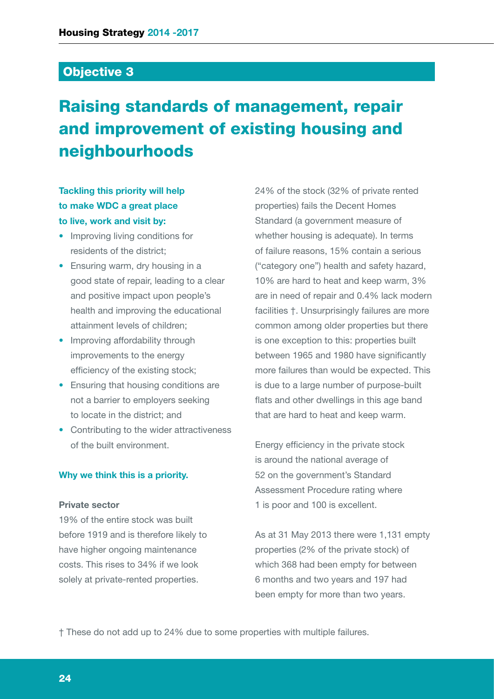### Objective 3

# Raising standards of management, repair and improvement of existing housing and neighbourhoods

### **Tackling this priority will help to make WDC a great place to live, work and visit by:**

- Improving living conditions for residents of the district;
- Ensuring warm, dry housing in a good state of repair, leading to a clear and positive impact upon people's health and improving the educational attainment levels of children;
- Improving affordability through improvements to the energy efficiency of the existing stock;
- Ensuring that housing conditions are not a barrier to employers seeking to locate in the district; and
- Contributing to the wider attractiveness of the built environment.

### **Why we think this is a priority.**

### **Private sector**

19% of the entire stock was built before 1919 and is therefore likely to have higher ongoing maintenance costs. This rises to 34% if we look solely at private-rented properties.

24% of the stock (32% of private rented properties) fails the Decent Homes Standard (a government measure of whether housing is adequate). In terms of failure reasons, 15% contain a serious ("category one") health and safety hazard, 10% are hard to heat and keep warm, 3% are in need of repair and 0.4% lack modern facilities †. Unsurprisingly failures are more common among older properties but there is one exception to this: properties built between 1965 and 1980 have significantly more failures than would be expected. This is due to a large number of purpose-built flats and other dwellings in this age band that are hard to heat and keep warm.

Energy efficiency in the private stock is around the national average of 52 on the government's Standard Assessment Procedure rating where 1 is poor and 100 is excellent.

As at 31 May 2013 there were 1,131 empty properties (2% of the private stock) of which 368 had been empty for between 6 months and two years and 197 had been empty for more than two years.

† These do not add up to 24% due to some properties with multiple failures.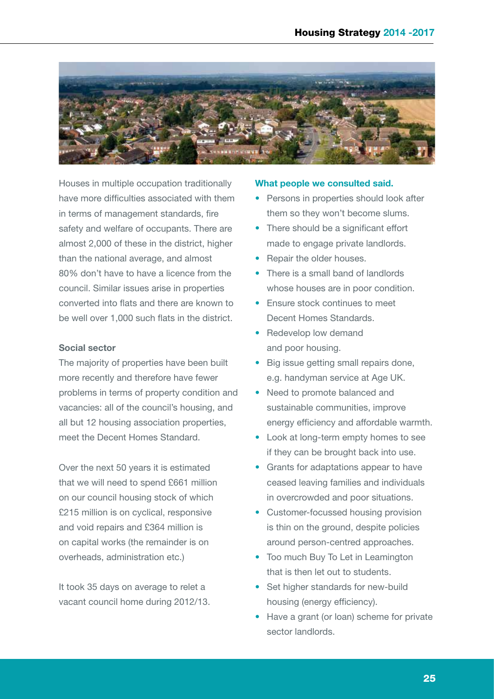

Houses in multiple occupation traditionally have more difficulties associated with them in terms of management standards, fire safety and welfare of occupants. There are almost 2,000 of these in the district, higher than the national average, and almost 80% don't have to have a licence from the council. Similar issues arise in properties converted into flats and there are known to be well over 1,000 such flats in the district.

### **Social sector**

The majority of properties have been built more recently and therefore have fewer problems in terms of property condition and vacancies: all of the council's housing, and all but 12 housing association properties, meet the Decent Homes Standard.

Over the next 50 years it is estimated that we will need to spend £661 million on our council housing stock of which £215 million is on cyclical, responsive and void repairs and £364 million is on capital works (the remainder is on overheads, administration etc.)

It took 35 days on average to relet a vacant council home during 2012/13.

#### **What people we consulted said.**

- Persons in properties should look after them so they won't become slums.
- There should be a significant effort made to engage private landlords.
- Repair the older houses.
- There is a small band of landlords whose houses are in poor condition.
- Ensure stock continues to meet Decent Homes Standards.
- Redevelop low demand and poor housing.
- Big issue getting small repairs done, e.g. handyman service at Age UK.
- Need to promote balanced and sustainable communities, improve energy efficiency and affordable warmth.
- Look at long-term empty homes to see if they can be brought back into use.
- Grants for adaptations appear to have ceased leaving families and individuals in overcrowded and poor situations.
- Customer-focussed housing provision is thin on the ground, despite policies around person-centred approaches.
- Too much Buy To Let in Leamington that is then let out to students.
- Set higher standards for new-build housing (energy efficiency).
- Have a grant (or loan) scheme for private sector landlords.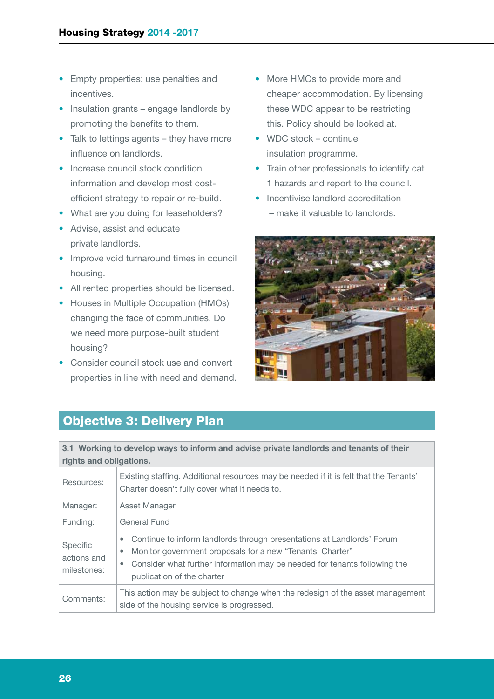- Empty properties: use penalties and incentives.
- Insulation grants engage landlords by promoting the benefits to them.
- Talk to lettings agents they have more influence on landlords.
- Increase council stock condition information and develop most costefficient strategy to repair or re-build.
- What are you doing for leaseholders?
- Advise, assist and educate private landlords.
- Improve void turnaround times in council housing.
- All rented properties should be licensed.
- Houses in Multiple Occupation (HMOs) changing the face of communities. Do we need more purpose-built student housing?
- Consider council stock use and convert properties in line with need and demand.
- More HMOs to provide more and cheaper accommodation. By licensing these WDC appear to be restricting this. Policy should be looked at.
- WDC stock continue insulation programme.
- Train other professionals to identify cat 1 hazards and report to the council.
- Incentivise landlord accreditation
	- make it valuable to landlords.



### Objective 3: Delivery Plan

**3.1 Working to develop ways to inform and advise private landlords and tenants of their rights and obligations.**

| Resources:                             | Existing staffing. Additional resources may be needed if it is felt that the Tenants'<br>Charter doesn't fully cover what it needs to.                                                                                                                        |  |  |  |
|----------------------------------------|---------------------------------------------------------------------------------------------------------------------------------------------------------------------------------------------------------------------------------------------------------------|--|--|--|
| Manager:                               | Asset Manager                                                                                                                                                                                                                                                 |  |  |  |
| Funding:                               | General Fund                                                                                                                                                                                                                                                  |  |  |  |
| Specific<br>actions and<br>milestones: | Continue to inform landlords through presentations at Landlords' Forum<br>۰<br>Monitor government proposals for a new "Tenants' Charter"<br>۰<br>Consider what further information may be needed for tenants following the<br>۰<br>publication of the charter |  |  |  |
| Comments:                              | This action may be subject to change when the redesign of the asset management<br>side of the housing service is progressed.                                                                                                                                  |  |  |  |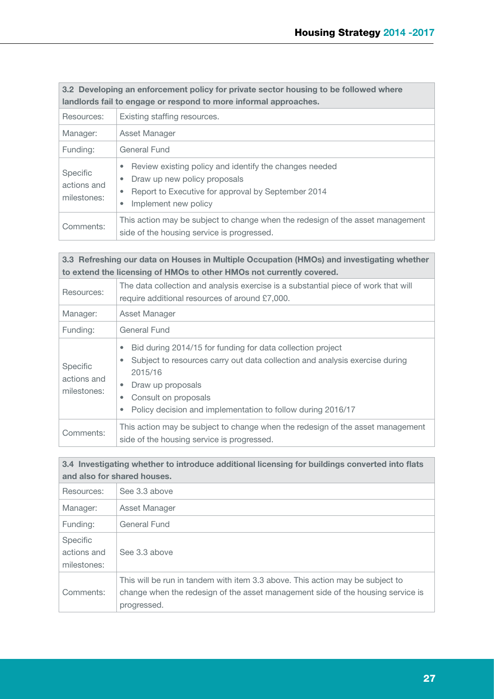| 3.2 Developing an enforcement policy for private sector housing to be followed where |
|--------------------------------------------------------------------------------------|
| landlords fail to engage or respond to more informal approaches.                     |

| Resources:                             | Existing staffing resources.                                                                                                                                                                                             |  |  |  |  |
|----------------------------------------|--------------------------------------------------------------------------------------------------------------------------------------------------------------------------------------------------------------------------|--|--|--|--|
| Manager:                               | Asset Manager                                                                                                                                                                                                            |  |  |  |  |
| Funding:                               | General Fund                                                                                                                                                                                                             |  |  |  |  |
| Specific<br>actions and<br>milestones: | Review existing policy and identify the changes needed<br>$\bullet$<br>Draw up new policy proposals<br>$\bullet$<br>Report to Executive for approval by September 2014<br>$\bullet$<br>Implement new policy<br>$\bullet$ |  |  |  |  |
| Comments:                              | This action may be subject to change when the redesign of the asset management<br>side of the housing service is progressed.                                                                                             |  |  |  |  |

**3.3 Refreshing our data on Houses in Multiple Occupation (HMOs) and investigating whether to extend the licensing of HMOs to other HMOs not currently covered.**

| Resources:                             | The data collection and analysis exercise is a substantial piece of work that will<br>require additional resources of around £7,000.                                                                                                                                                                              |
|----------------------------------------|-------------------------------------------------------------------------------------------------------------------------------------------------------------------------------------------------------------------------------------------------------------------------------------------------------------------|
| Manager:                               | Asset Manager                                                                                                                                                                                                                                                                                                     |
| Funding:                               | General Fund                                                                                                                                                                                                                                                                                                      |
| Specific<br>actions and<br>milestones: | Bid during 2014/15 for funding for data collection project<br>$\bullet$<br>Subject to resources carry out data collection and analysis exercise during<br>۰<br>2015/16<br>Draw up proposals<br>$\bullet$<br>Consult on proposals<br>۰<br>Policy decision and implementation to follow during 2016/17<br>$\bullet$ |
| Comments:                              | This action may be subject to change when the redesign of the asset management<br>side of the housing service is progressed.                                                                                                                                                                                      |

| 3.4 Investigating whether to introduce additional licensing for buildings converted into flats |
|------------------------------------------------------------------------------------------------|
| and also for shared houses.                                                                    |

| Resources:                                    | See 3.3 above                                                                                                                                                                   |
|-----------------------------------------------|---------------------------------------------------------------------------------------------------------------------------------------------------------------------------------|
| Manager:                                      | Asset Manager                                                                                                                                                                   |
| Funding:                                      | <b>General Fund</b>                                                                                                                                                             |
| <b>Specific</b><br>actions and<br>milestones: | See 3.3 above                                                                                                                                                                   |
| Comments:                                     | This will be run in tandem with item 3.3 above. This action may be subject to<br>change when the redesign of the asset management side of the housing service is<br>progressed. |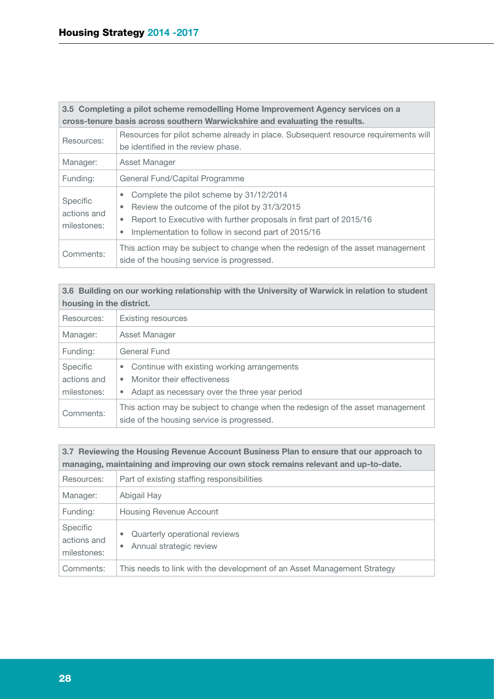| 3.5 Completing a pilot scheme remodelling Home Improvement Agency services on a |                                                                                                                                                                                                                                                          |  |
|---------------------------------------------------------------------------------|----------------------------------------------------------------------------------------------------------------------------------------------------------------------------------------------------------------------------------------------------------|--|
| cross-tenure basis across southern Warwickshire and evaluating the results.     |                                                                                                                                                                                                                                                          |  |
| Resources:                                                                      | Resources for pilot scheme already in place. Subsequent resource requirements will<br>be identified in the review phase.                                                                                                                                 |  |
| Manager:                                                                        | Asset Manager                                                                                                                                                                                                                                            |  |
| Funding:                                                                        | General Fund/Capital Programme                                                                                                                                                                                                                           |  |
| Specific<br>actions and<br>milestones:                                          | Complete the pilot scheme by 31/12/2014<br>۰<br>Review the outcome of the pilot by 31/3/2015<br>۰<br>Report to Executive with further proposals in first part of 2015/16<br>$\bullet$<br>Implementation to follow in second part of 2015/16<br>$\bullet$ |  |
| Comments:                                                                       | This action may be subject to change when the redesign of the asset management<br>side of the housing service is progressed.                                                                                                                             |  |

**3.6 Building on our working relationship with the University of Warwick in relation to student housing in the district.**

| Resources:                                    | <b>Existing resources</b>                                                                                                                                          |
|-----------------------------------------------|--------------------------------------------------------------------------------------------------------------------------------------------------------------------|
| Manager:                                      | Asset Manager                                                                                                                                                      |
| Funding:                                      | General Fund                                                                                                                                                       |
| <b>Specific</b><br>actions and<br>milestones: | Continue with existing working arrangements<br>$\bullet$<br>Monitor their effectiveness<br>$\bullet$<br>Adapt as necessary over the three year period<br>$\bullet$ |
| Comments:                                     | This action may be subject to change when the redesign of the asset management<br>side of the housing service is progressed.                                       |

| 3.7 Reviewing the Housing Revenue Account Business Plan to ensure that our approach to<br>managing, maintaining and improving our own stock remains relevant and up-to-date. |                                                                            |  |
|------------------------------------------------------------------------------------------------------------------------------------------------------------------------------|----------------------------------------------------------------------------|--|
| Resources:                                                                                                                                                                   | Part of existing staffing responsibilities                                 |  |
| Manager:                                                                                                                                                                     | Abigail Hay                                                                |  |
| Funding:                                                                                                                                                                     | <b>Housing Revenue Account</b>                                             |  |
| Specific<br>actions and<br>milestones:                                                                                                                                       | Quarterly operational reviews<br>۰<br>Annual strategic review<br>$\bullet$ |  |
| Comments:                                                                                                                                                                    | This needs to link with the development of an Asset Management Strategy    |  |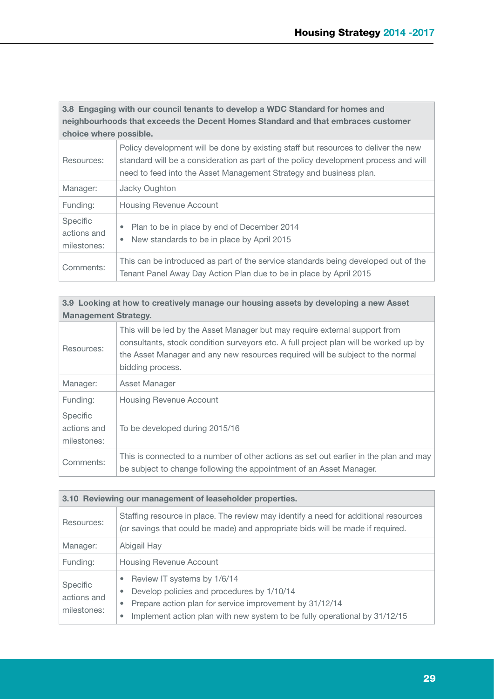**3.8 Engaging with our council tenants to develop a WDC Standard for homes and neighbourhoods that exceeds the Decent Homes Standard and that embraces customer choice where possible.**

| Resources:                                    | Policy development will be done by existing staff but resources to deliver the new<br>standard will be a consideration as part of the policy development process and will<br>need to feed into the Asset Management Strategy and business plan. |
|-----------------------------------------------|-------------------------------------------------------------------------------------------------------------------------------------------------------------------------------------------------------------------------------------------------|
| Manager:                                      | Jacky Oughton                                                                                                                                                                                                                                   |
| Funding:                                      | <b>Housing Revenue Account</b>                                                                                                                                                                                                                  |
| <b>Specific</b><br>actions and<br>milestones: | Plan to be in place by end of December 2014<br>۰<br>New standards to be in place by April 2015<br>$\bullet$                                                                                                                                     |
| Comments:                                     | This can be introduced as part of the service standards being developed out of the<br>Tenant Panel Away Day Action Plan due to be in place by April 2015                                                                                        |

| 3.9 Looking at how to creatively manage our housing assets by developing a new Asset<br><b>Management Strategy.</b> |                                                                                                                                                                                                                                                                           |  |
|---------------------------------------------------------------------------------------------------------------------|---------------------------------------------------------------------------------------------------------------------------------------------------------------------------------------------------------------------------------------------------------------------------|--|
| Resources:                                                                                                          | This will be led by the Asset Manager but may require external support from<br>consultants, stock condition surveyors etc. A full project plan will be worked up by<br>the Asset Manager and any new resources required will be subject to the normal<br>bidding process. |  |
| Manager:                                                                                                            | Asset Manager                                                                                                                                                                                                                                                             |  |
| Funding:                                                                                                            | <b>Housing Revenue Account</b>                                                                                                                                                                                                                                            |  |
| <b>Specific</b><br>actions and<br>milestones:                                                                       | To be developed during 2015/16                                                                                                                                                                                                                                            |  |
| Comments:                                                                                                           | This is connected to a number of other actions as set out earlier in the plan and may<br>be subject to change following the appointment of an Asset Manager.                                                                                                              |  |

| 3.10 Reviewing our management of leaseholder properties. |                                                                                                                                                                                                                                                       |
|----------------------------------------------------------|-------------------------------------------------------------------------------------------------------------------------------------------------------------------------------------------------------------------------------------------------------|
| Resources:                                               | Staffing resource in place. The review may identify a need for additional resources<br>(or savings that could be made) and appropriate bids will be made if required.                                                                                 |
| Manager:                                                 | Abigail Hay                                                                                                                                                                                                                                           |
| Funding:                                                 | <b>Housing Revenue Account</b>                                                                                                                                                                                                                        |
| <b>Specific</b><br>actions and<br>milestones:            | Review IT systems by 1/6/14<br>۰<br>Develop policies and procedures by 1/10/14<br>۰<br>Prepare action plan for service improvement by 31/12/14<br>$\bullet$<br>Implement action plan with new system to be fully operational by 31/12/15<br>$\bullet$ |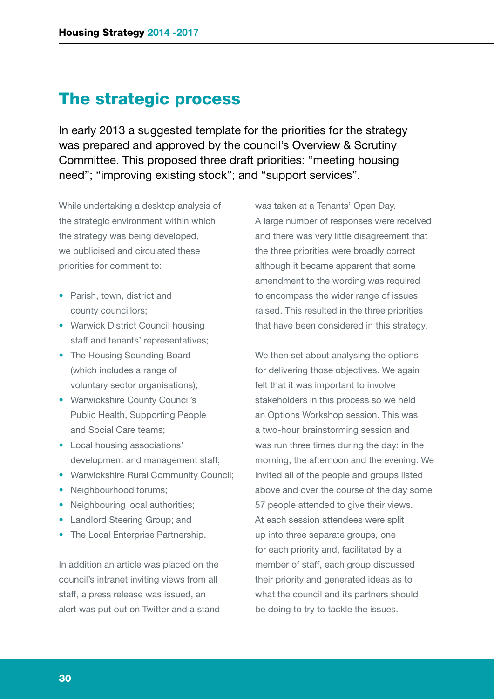### The strategic process

In early 2013 a suggested template for the priorities for the strategy was prepared and approved by the council's Overview & Scrutiny Committee. This proposed three draft priorities: "meeting housing need"; "improving existing stock"; and "support services".

While undertaking a desktop analysis of the strategic environment within which the strategy was being developed, we publicised and circulated these priorities for comment to:

- Parish, town, district and county councillors;
- Warwick District Council housing staff and tenants' representatives;
- The Housing Sounding Board (which includes a range of voluntary sector organisations);
- Warwickshire County Council's Public Health, Supporting People and Social Care teams;
- Local housing associations' development and management staff;
- Warwickshire Rural Community Council;
- Neighbourhood forums:
- Neighbouring local authorities:
- Landlord Steering Group; and
- The Local Enterprise Partnership.

In addition an article was placed on the council's intranet inviting views from all staff, a press release was issued, an alert was put out on Twitter and a stand was taken at a Tenants' Open Day. A large number of responses were received and there was very little disagreement that the three priorities were broadly correct although it became apparent that some amendment to the wording was required to encompass the wider range of issues raised. This resulted in the three priorities that have been considered in this strategy.

We then set about analysing the options for delivering those objectives. We again felt that it was important to involve stakeholders in this process so we held an Options Workshop session. This was a two-hour brainstorming session and was run three times during the day: in the morning, the afternoon and the evening. We invited all of the people and groups listed above and over the course of the day some 57 people attended to give their views. At each session attendees were split up into three separate groups, one for each priority and, facilitated by a member of staff, each group discussed their priority and generated ideas as to what the council and its partners should be doing to try to tackle the issues.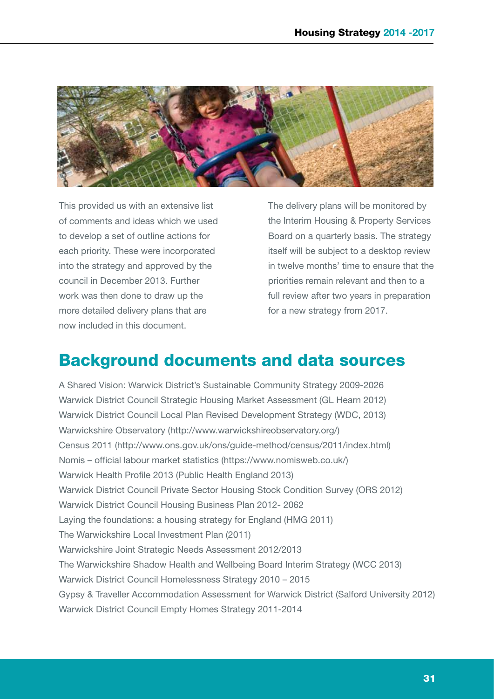

This provided us with an extensive list of comments and ideas which we used to develop a set of outline actions for each priority. These were incorporated into the strategy and approved by the council in December 2013. Further work was then done to draw up the more detailed delivery plans that are now included in this document.

The delivery plans will be monitored by the Interim Housing & Property Services Board on a quarterly basis. The strategy itself will be subject to a desktop review in twelve months' time to ensure that the priorities remain relevant and then to a full review after two years in preparation for a new strategy from 2017.

# Background documents and data sources

A Shared Vision: Warwick District's Sustainable Community Strategy 2009-2026 Warwick District Council Strategic Housing Market Assessment (GL Hearn 2012) Warwick District Council Local Plan Revised Development Strategy (WDC, 2013) Warwickshire Observatory (http://www.warwickshireobservatory.org/) Census 2011 (http://www.ons.gov.uk/ons/guide-method/census/2011/index.html) Nomis – official labour market statistics (https://www.nomisweb.co.uk/) Warwick Health Profile 2013 (Public Health England 2013) Warwick District Council Private Sector Housing Stock Condition Survey (ORS 2012) Warwick District Council Housing Business Plan 2012- 2062 Laying the foundations: a housing strategy for England (HMG 2011) The Warwickshire Local Investment Plan (2011) Warwickshire Joint Strategic Needs Assessment 2012/2013 The Warwickshire Shadow Health and Wellbeing Board Interim Strategy (WCC 2013) Warwick District Council Homelessness Strategy 2010 – 2015 Gypsy & Traveller Accommodation Assessment for Warwick District (Salford University 2012) Warwick District Council Empty Homes Strategy 2011-2014